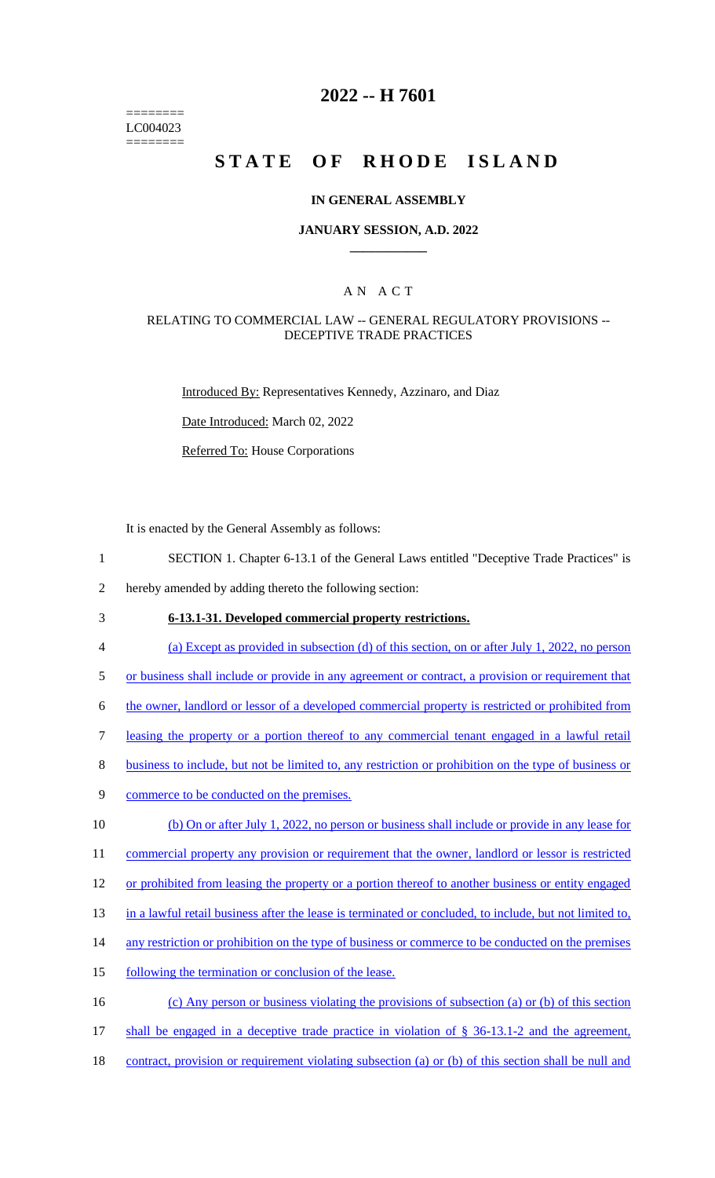======== LC004023 ========

# **2022 -- H 7601**

# **STATE OF RHODE ISLAND**

#### **IN GENERAL ASSEMBLY**

#### **JANUARY SESSION, A.D. 2022 \_\_\_\_\_\_\_\_\_\_\_\_**

### A N A C T

#### RELATING TO COMMERCIAL LAW -- GENERAL REGULATORY PROVISIONS -- DECEPTIVE TRADE PRACTICES

Introduced By: Representatives Kennedy, Azzinaro, and Diaz

Date Introduced: March 02, 2022

Referred To: House Corporations

It is enacted by the General Assembly as follows:

1 SECTION 1. Chapter 6-13.1 of the General Laws entitled "Deceptive Trade Practices" is

2 hereby amended by adding thereto the following section:

- 3 **6-13.1-31. Developed commercial property restrictions.**
- 4 (a) Except as provided in subsection (d) of this section, on or after July 1, 2022, no person

5 or business shall include or provide in any agreement or contract, a provision or requirement that

- 6 the owner, landlord or lessor of a developed commercial property is restricted or prohibited from
- 7 leasing the property or a portion thereof to any commercial tenant engaged in a lawful retail
- 8 business to include, but not be limited to, any restriction or prohibition on the type of business or
- 9 commerce to be conducted on the premises.
- 10 (b) On or after July 1, 2022, no person or business shall include or provide in any lease for 11 commercial property any provision or requirement that the owner, landlord or lessor is restricted
- 12 or prohibited from leasing the property or a portion thereof to another business or entity engaged
- 13 in a lawful retail business after the lease is terminated or concluded, to include, but not limited to,
- 14 any restriction or prohibition on the type of business or commerce to be conducted on the premises
- 15 following the termination or conclusion of the lease.
- 16 (c) Any person or business violating the provisions of subsection (a) or (b) of this section
- 17 shall be engaged in a deceptive trade practice in violation of § 36-13.1-2 and the agreement,
- 18 contract, provision or requirement violating subsection (a) or (b) of this section shall be null and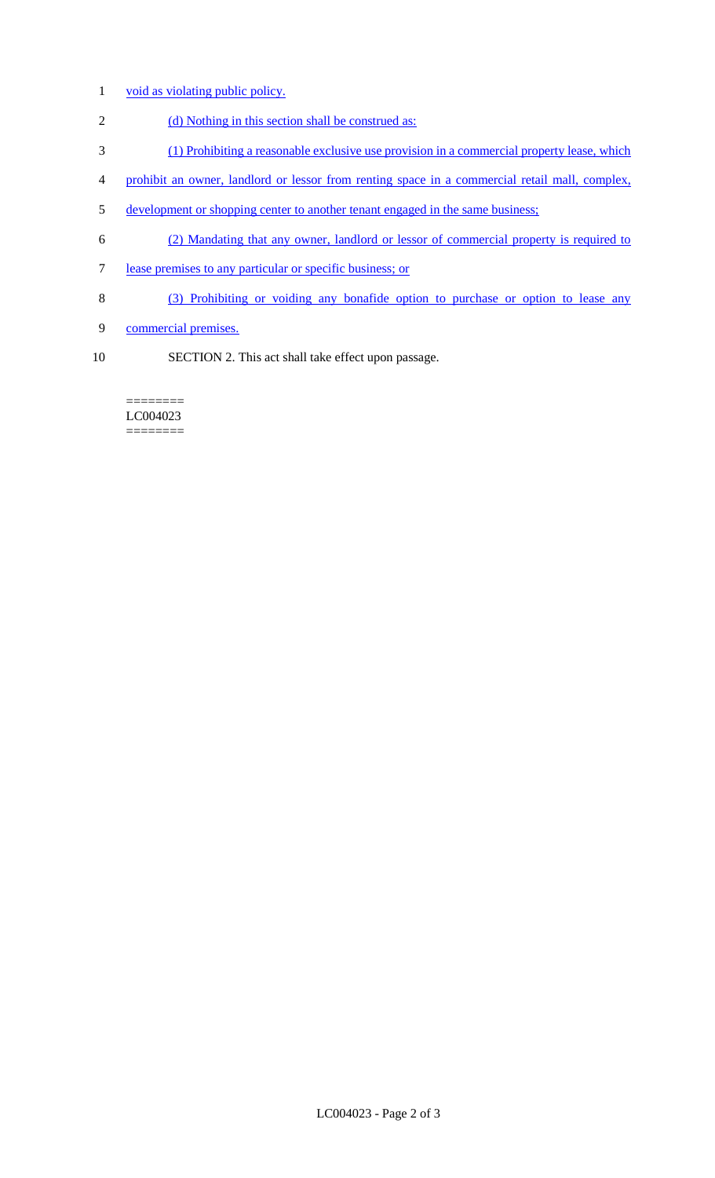- 1 void as violating public policy.
- 2 (d) Nothing in this section shall be construed as:
- 3 (1) Prohibiting a reasonable exclusive use provision in a commercial property lease, which
- 4 prohibit an owner, landlord or lessor from renting space in a commercial retail mall, complex,
- 5 development or shopping center to another tenant engaged in the same business;
- 6 (2) Mandating that any owner, landlord or lessor of commercial property is required to
- 7 lease premises to any particular or specific business; or
- 8 (3) Prohibiting or voiding any bonafide option to purchase or option to lease any
- 9 commercial premises.
- 10 SECTION 2. This act shall take effect upon passage.

#### ======== LC004023 ========